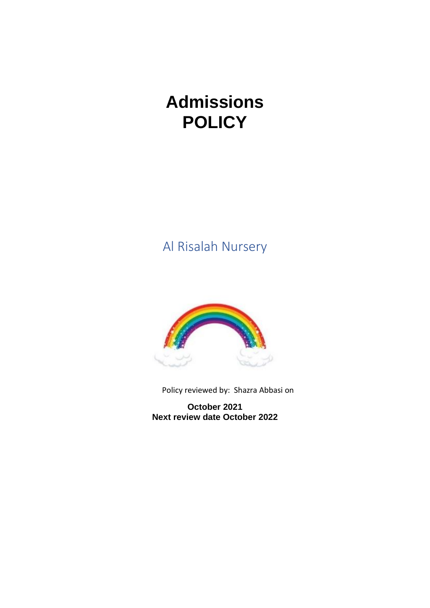# **Admissions POLICY**

Al Risalah Nursery



Policy reviewed by: Shazra Abbasi on

**October 2021 Next review date October 2022**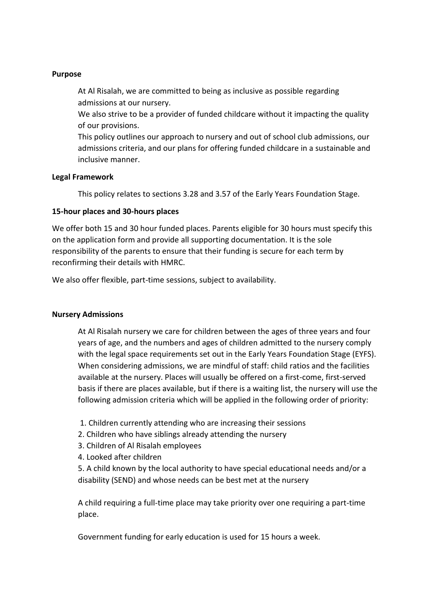# **Purpose**

At Al Risalah, we are committed to being as inclusive as possible regarding admissions at our nursery.

We also strive to be a provider of funded childcare without it impacting the quality of our provisions.

This policy outlines our approach to nursery and out of school club admissions, our admissions criteria, and our plans for offering funded childcare in a sustainable and inclusive manner.

# **Legal Framework**

This policy relates to sections 3.28 and 3.57 of the Early Years Foundation Stage.

# **15-hour places and 30-hours places**

We offer both 15 and 30 hour funded places. Parents eligible for 30 hours must specify this on the application form and provide all supporting documentation. It is the sole responsibility of the parents to ensure that their funding is secure for each term by reconfirming their details with HMRC.

We also offer flexible, part-time sessions, subject to availability.

# **Nursery Admissions**

At Al Risalah nursery we care for children between the ages of three years and four years of age, and the numbers and ages of children admitted to the nursery comply with the legal space requirements set out in the Early Years Foundation Stage (EYFS). When considering admissions, we are mindful of staff: child ratios and the facilities available at the nursery. Places will usually be offered on a first-come, first-served basis if there are places available, but if there is a waiting list, the nursery will use the following admission criteria which will be applied in the following order of priority:

- 1. Children currently attending who are increasing their sessions
- 2. Children who have siblings already attending the nursery
- 3. Children of Al Risalah employees
- 4. Looked after children

5. A child known by the local authority to have special educational needs and/or a disability (SEND) and whose needs can be best met at the nursery

A child requiring a full-time place may take priority over one requiring a part-time place.

Government funding for early education is used for 15 hours a week.